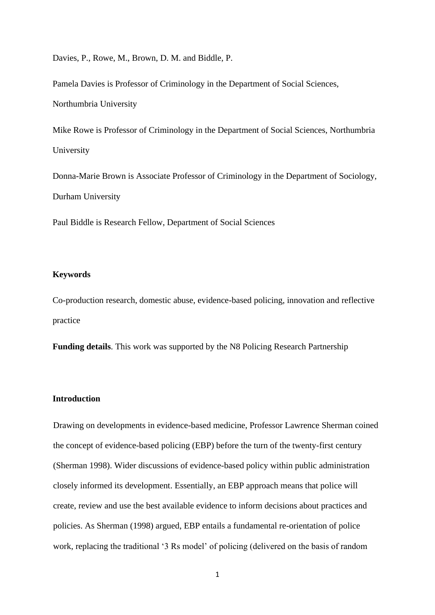Davies, P., Rowe, M., Brown, D. M. and Biddle, P.

Pamela Davies is Professor of Criminology in the Department of Social Sciences,

Northumbria University

Mike Rowe is Professor of Criminology in the Department of Social Sciences, Northumbria University

Donna-Marie Brown is Associate Professor of Criminology in the Department of Sociology, Durham University

Paul Biddle is Research Fellow, Department of Social Sciences

#### **Keywords**

Co-production research, domestic abuse, evidence-based policing, innovation and reflective practice

**Funding details**. This work was supported by the N8 Policing Research Partnership

# **Introduction**

Drawing on developments in evidence-based medicine, Professor Lawrence Sherman coined the concept of evidence-based policing (EBP) before the turn of the twenty-first century (Sherman 1998). Wider discussions of evidence-based policy within public administration closely informed its development. Essentially, an EBP approach means that police will create, review and use the best available evidence to inform decisions about practices and policies. As Sherman (1998) argued, EBP entails a fundamental re-orientation of police work, replacing the traditional '3 Rs model' of policing (delivered on the basis of random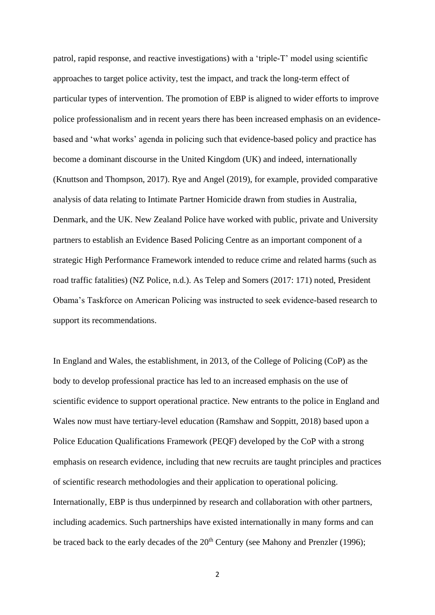patrol, rapid response, and reactive investigations) with a 'triple-T' model using scientific approaches to target police activity, test the impact, and track the long-term effect of particular types of intervention. The promotion of EBP is aligned to wider efforts to improve police professionalism and in recent years there has been increased emphasis on an evidencebased and 'what works' agenda in policing such that evidence-based policy and practice has become a dominant discourse in the United Kingdom (UK) and indeed, internationally (Knuttson and Thompson, 2017). Rye and Angel (2019), for example, provided comparative analysis of data relating to Intimate Partner Homicide drawn from studies in Australia, Denmark, and the UK. New Zealand Police have worked with public, private and University partners to establish an Evidence Based Policing Centre as an important component of a strategic High Performance Framework intended to reduce crime and related harms (such as road traffic fatalities) (NZ Police, n.d.). As Telep and Somers (2017: 171) noted, President Obama's Taskforce on American Policing was instructed to seek evidence-based research to support its recommendations.

In England and Wales, the establishment, in 2013, of the College of Policing (CoP) as the body to develop professional practice has led to an increased emphasis on the use of scientific evidence to support operational practice. New entrants to the police in England and Wales now must have tertiary-level education (Ramshaw and Soppitt, 2018) based upon a Police Education Qualifications Framework (PEQF) developed by the CoP with a strong emphasis on research evidence, including that new recruits are taught principles and practices of scientific research methodologies and their application to operational policing. Internationally, EBP is thus underpinned by research and collaboration with other partners, including academics. Such partnerships have existed internationally in many forms and can be traced back to the early decades of the  $20<sup>th</sup>$  Century (see Mahony and Prenzler (1996);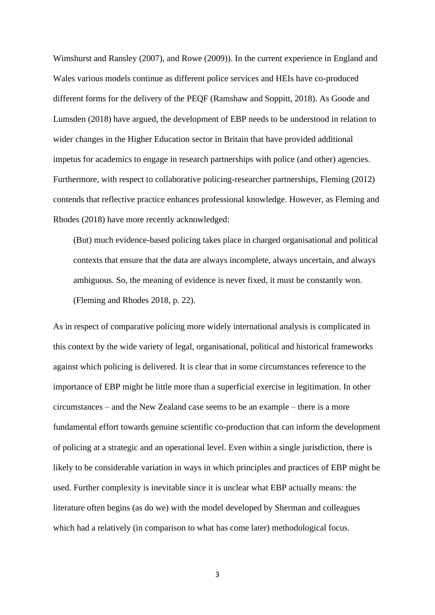Wimshurst and Ransley (2007), and Rowe (2009)). In the current experience in England and Wales various models continue as different police services and HEIs have co-produced different forms for the delivery of the PEQF (Ramshaw and Soppitt, 2018). As Goode and Lumsden (2018) have argued, the development of EBP needs to be understood in relation to wider changes in the Higher Education sector in Britain that have provided additional impetus for academics to engage in research partnerships with police (and other) agencies. Furthermore, with respect to collaborative policing-researcher partnerships, Fleming (2012) contends that reflective practice enhances professional knowledge. However, as Fleming and Rhodes (2018) have more recently acknowledged:

(But) much evidence-based policing takes place in charged organisational and political contexts that ensure that the data are always incomplete, always uncertain, and always ambiguous. So, the meaning of evidence is never fixed, it must be constantly won. (Fleming and Rhodes 2018, p. 22).

As in respect of comparative policing more widely international analysis is complicated in this context by the wide variety of legal, organisational, political and historical frameworks against which policing is delivered. It is clear that in some circumstances reference to the importance of EBP might be little more than a superficial exercise in legitimation. In other circumstances – and the New Zealand case seems to be an example – there is a more fundamental effort towards genuine scientific co-production that can inform the development of policing at a strategic and an operational level. Even within a single jurisdiction, there is likely to be considerable variation in ways in which principles and practices of EBP might be used. Further complexity is inevitable since it is unclear what EBP actually means: the literature often begins (as do we) with the model developed by Sherman and colleagues which had a relatively (in comparison to what has come later) methodological focus.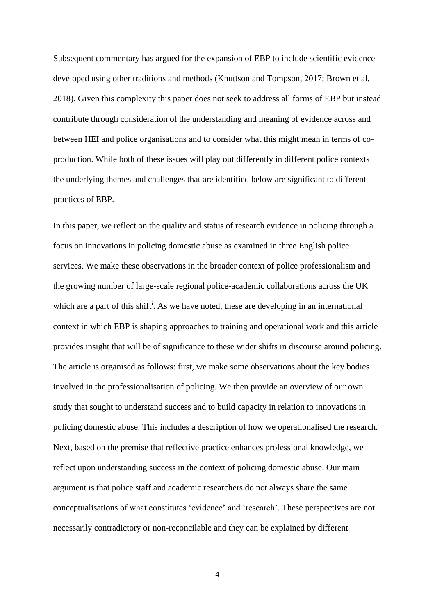Subsequent commentary has argued for the expansion of EBP to include scientific evidence developed using other traditions and methods (Knuttson and Tompson, 2017; Brown et al, 2018). Given this complexity this paper does not seek to address all forms of EBP but instead contribute through consideration of the understanding and meaning of evidence across and between HEI and police organisations and to consider what this might mean in terms of coproduction. While both of these issues will play out differently in different police contexts the underlying themes and challenges that are identified below are significant to different practices of EBP.

In this paper, we reflect on the quality and status of research evidence in policing through a focus on innovations in policing domestic abuse as examined in three English police services. We make these observations in the broader context of police professionalism and the growing number of large-scale regional police-academic collaborations across the UK which are a part of this shift<sup>i</sup>. As we have noted, these are developing in an international context in which EBP is shaping approaches to training and operational work and this article provides insight that will be of significance to these wider shifts in discourse around policing. The article is organised as follows: first, we make some observations about the key bodies involved in the professionalisation of policing. We then provide an overview of our own study that sought to understand success and to build capacity in relation to innovations in policing domestic abuse. This includes a description of how we operationalised the research. Next, based on the premise that reflective practice enhances professional knowledge, we reflect upon understanding success in the context of policing domestic abuse. Our main argument is that police staff and academic researchers do not always share the same conceptualisations of what constitutes 'evidence' and 'research'. These perspectives are not necessarily contradictory or non-reconcilable and they can be explained by different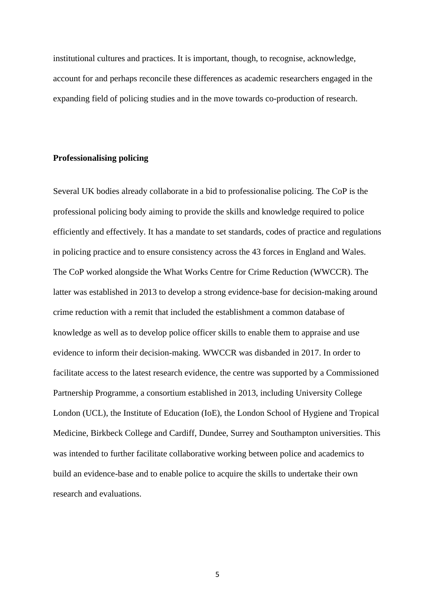institutional cultures and practices. It is important, though, to recognise, acknowledge, account for and perhaps reconcile these differences as academic researchers engaged in the expanding field of policing studies and in the move towards co-production of research.

## **Professionalising policing**

Several UK bodies already collaborate in a bid to professionalise policing. The CoP is the professional policing body aiming to provide the skills and knowledge required to police efficiently and effectively. It has a mandate to set standards, codes of practice and regulations in policing practice and to ensure consistency across the 43 forces in England and Wales. The CoP worked alongside the What Works Centre for Crime Reduction (WWCCR). The latter was established in 2013 to develop a strong evidence-base for decision-making around crime reduction with a remit that included the establishment a common database of knowledge as well as to develop police officer skills to enable them to appraise and use evidence to inform their decision-making. WWCCR was disbanded in 2017. In order to facilitate access to the latest research evidence, the centre was supported by a Commissioned Partnership Programme, a consortium established in 2013, including University College London (UCL), the Institute of Education (IoE), the London School of Hygiene and Tropical Medicine, Birkbeck College and Cardiff, Dundee, Surrey and Southampton universities. This was intended to further facilitate collaborative working between police and academics to build an evidence-base and to enable police to acquire the skills to undertake their own research and evaluations.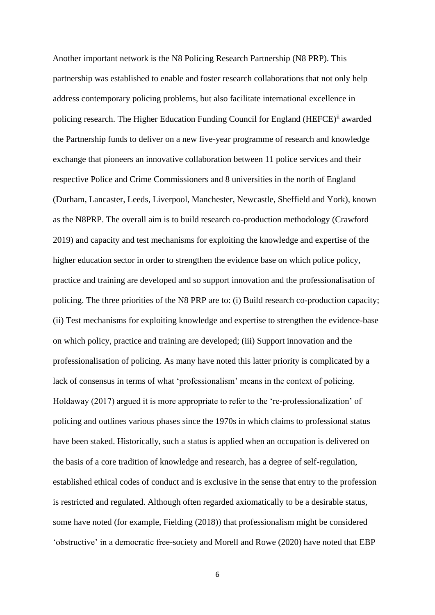Another important network is the N8 Policing Research Partnership (N8 PRP). This partnership was established to enable and foster research collaborations that not only help address contemporary policing problems, but also facilitate international excellence in policing research. The Higher Education Funding Council for England (HEFCE)<sup>ii</sup> awarded the Partnership funds to deliver on a new five-year programme of research and knowledge exchange that pioneers an innovative collaboration between 11 police services and their respective Police and Crime Commissioners and 8 universities in the north of England (Durham, Lancaster, Leeds, Liverpool, Manchester, Newcastle, Sheffield and York), known as the N8PRP. The overall aim is to build research co-production methodology (Crawford 2019) and capacity and test mechanisms for exploiting the knowledge and expertise of the higher education sector in order to strengthen the evidence base on which police policy, practice and training are developed and so support innovation and the professionalisation of policing. The three priorities of the N8 PRP are to: (i) Build research co-production capacity; (ii) Test mechanisms for exploiting knowledge and expertise to strengthen the evidence-base on which policy, practice and training are developed; (iii) Support innovation and the professionalisation of policing. As many have noted this latter priority is complicated by a lack of consensus in terms of what 'professionalism' means in the context of policing. Holdaway (2017) argued it is more appropriate to refer to the 're-professionalization' of policing and outlines various phases since the 1970s in which claims to professional status have been staked. Historically, such a status is applied when an occupation is delivered on the basis of a core tradition of knowledge and research, has a degree of self-regulation, established ethical codes of conduct and is exclusive in the sense that entry to the profession is restricted and regulated. Although often regarded axiomatically to be a desirable status, some have noted (for example, Fielding (2018)) that professionalism might be considered 'obstructive' in a democratic free-society and Morell and Rowe (2020) have noted that EBP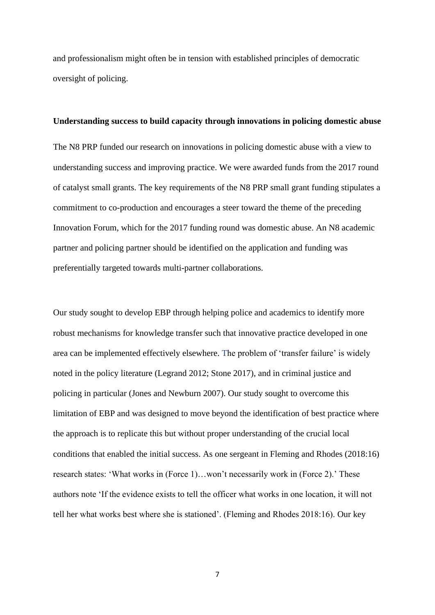and professionalism might often be in tension with established principles of democratic oversight of policing.

#### **Understanding success to build capacity through innovations in policing domestic abuse**

The N8 PRP funded our research on innovations in policing domestic abuse with a view to understanding success and improving practice. We were awarded funds from the 2017 round of catalyst small grants. The key requirements of the N8 PRP small grant funding stipulates a commitment to co-production and encourages a steer toward the theme of the preceding Innovation Forum, which for the 2017 funding round was domestic abuse. An N8 academic partner and policing partner should be identified on the application and funding was preferentially targeted towards multi-partner collaborations.

Our study sought to develop EBP through helping police and academics to identify more robust mechanisms for knowledge transfer such that innovative practice developed in one area can be implemented effectively elsewhere. The problem of 'transfer failure' is widely noted in the policy literature (Legrand 2012; Stone 2017), and in criminal justice and policing in particular (Jones and Newburn 2007). Our study sought to overcome this limitation of EBP and was designed to move beyond the identification of best practice where the approach is to replicate this but without proper understanding of the crucial local conditions that enabled the initial success. As one sergeant in Fleming and Rhodes (2018:16) research states: 'What works in (Force 1)…won't necessarily work in (Force 2).' These authors note 'If the evidence exists to tell the officer what works in one location, it will not tell her what works best where she is stationed'. (Fleming and Rhodes 2018:16). Our key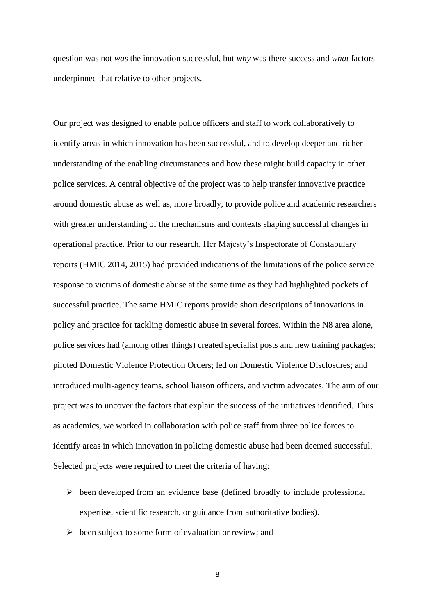question was not *was* the innovation successful, but *why* was there success and *what* factors underpinned that relative to other projects.

Our project was designed to enable police officers and staff to work collaboratively to identify areas in which innovation has been successful, and to develop deeper and richer understanding of the enabling circumstances and how these might build capacity in other police services. A central objective of the project was to help transfer innovative practice around domestic abuse as well as, more broadly, to provide police and academic researchers with greater understanding of the mechanisms and contexts shaping successful changes in operational practice. Prior to our research, Her Majesty's Inspectorate of Constabulary reports (HMIC 2014, 2015) had provided indications of the limitations of the police service response to victims of domestic abuse at the same time as they had highlighted pockets of successful practice. The same HMIC reports provide short descriptions of innovations in policy and practice for tackling domestic abuse in several forces. Within the N8 area alone, police services had (among other things) created specialist posts and new training packages; piloted Domestic Violence Protection Orders; led on Domestic Violence Disclosures; and introduced multi-agency teams, school liaison officers, and victim advocates. The aim of our project was to uncover the factors that explain the success of the initiatives identified. Thus as academics, we worked in collaboration with police staff from three police forces to identify areas in which innovation in policing domestic abuse had been deemed successful. Selected projects were required to meet the criteria of having:

- ➢ been developed from an evidence base (defined broadly to include professional expertise, scientific research, or guidance from authoritative bodies).
- ➢ been subject to some form of evaluation or review; and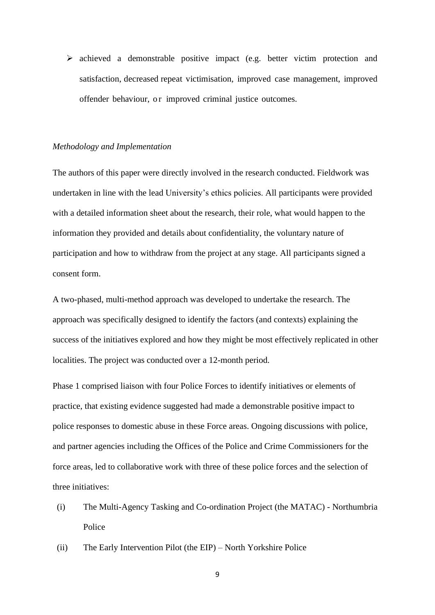➢ achieved a demonstrable positive impact (e.g. better victim protection and satisfaction, decreased repeat victimisation, improved case management, improved offender behaviour, or improved criminal justice outcomes.

#### *Methodology and Implementation*

The authors of this paper were directly involved in the research conducted. Fieldwork was undertaken in line with the lead University's ethics policies. All participants were provided with a detailed information sheet about the research, their role, what would happen to the information they provided and details about confidentiality, the voluntary nature of participation and how to withdraw from the project at any stage. All participants signed a consent form.

A two-phased, multi-method approach was developed to undertake the research. The approach was specifically designed to identify the factors (and contexts) explaining the success of the initiatives explored and how they might be most effectively replicated in other localities. The project was conducted over a 12-month period.

Phase 1 comprised liaison with four Police Forces to identify initiatives or elements of practice, that existing evidence suggested had made a demonstrable positive impact to police responses to domestic abuse in these Force areas. Ongoing discussions with police, and partner agencies including the Offices of the Police and Crime Commissioners for the force areas, led to collaborative work with three of these police forces and the selection of three initiatives:

- (i) The Multi-Agency Tasking and Co-ordination Project (the MATAC) Northumbria Police
- (ii) The Early Intervention Pilot (the EIP) North Yorkshire Police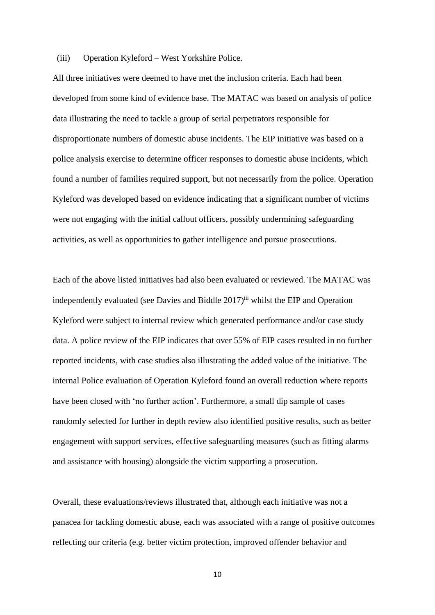#### (iii) Operation Kyleford – West Yorkshire Police.

All three initiatives were deemed to have met the inclusion criteria. Each had been developed from some kind of evidence base. The MATAC was based on analysis of police data illustrating the need to tackle a group of serial perpetrators responsible for disproportionate numbers of domestic abuse incidents. The EIP initiative was based on a police analysis exercise to determine officer responses to domestic abuse incidents, which found a number of families required support, but not necessarily from the police. Operation Kyleford was developed based on evidence indicating that a significant number of victims were not engaging with the initial callout officers, possibly undermining safeguarding activities, as well as opportunities to gather intelligence and pursue prosecutions.

Each of the above listed initiatives had also been evaluated or reviewed. The MATAC was independently evaluated (see Davies and Biddle  $2017$ )<sup>iii</sup> whilst the EIP and Operation Kyleford were subject to internal review which generated performance and/or case study data. A police review of the EIP indicates that over 55% of EIP cases resulted in no further reported incidents, with case studies also illustrating the added value of the initiative. The internal Police evaluation of Operation Kyleford found an overall reduction where reports have been closed with 'no further action'. Furthermore, a small dip sample of cases randomly selected for further in depth review also identified positive results, such as better engagement with support services, effective safeguarding measures (such as fitting alarms and assistance with housing) alongside the victim supporting a prosecution.

Overall, these evaluations/reviews illustrated that, although each initiative was not a panacea for tackling domestic abuse, each was associated with a range of positive outcomes reflecting our criteria (e.g. better victim protection, improved offender behavior and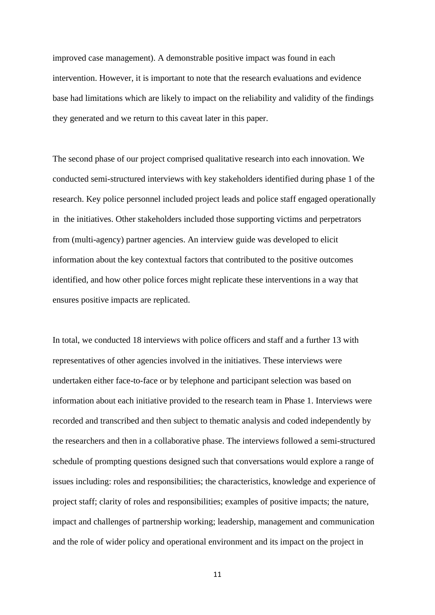improved case management). A demonstrable positive impact was found in each intervention. However, it is important to note that the research evaluations and evidence base had limitations which are likely to impact on the reliability and validity of the findings they generated and we return to this caveat later in this paper.

The second phase of our project comprised qualitative research into each innovation. We conducted semi-structured interviews with key stakeholders identified during phase 1 of the research. Key police personnel included project leads and police staff engaged operationally in the initiatives. Other stakeholders included those supporting victims and perpetrators from (multi-agency) partner agencies. An interview guide was developed to elicit information about the key contextual factors that contributed to the positive outcomes identified, and how other police forces might replicate these interventions in a way that ensures positive impacts are replicated.

In total, we conducted 18 interviews with police officers and staff and a further 13 with representatives of other agencies involved in the initiatives. These interviews were undertaken either face-to-face or by telephone and participant selection was based on information about each initiative provided to the research team in Phase 1. Interviews were recorded and transcribed and then subject to thematic analysis and coded independently by the researchers and then in a collaborative phase. The interviews followed a semi-structured schedule of prompting questions designed such that conversations would explore a range of issues including: roles and responsibilities; the characteristics, knowledge and experience of project staff; clarity of roles and responsibilities; examples of positive impacts; the nature, impact and challenges of partnership working; leadership, management and communication and the role of wider policy and operational environment and its impact on the project in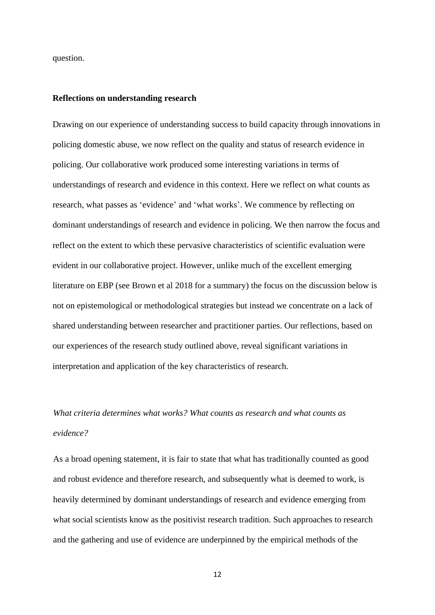question.

#### **Reflections on understanding research**

Drawing on our experience of understanding success to build capacity through innovations in policing domestic abuse, we now reflect on the quality and status of research evidence in policing. Our collaborative work produced some interesting variations in terms of understandings of research and evidence in this context. Here we reflect on what counts as research, what passes as 'evidence' and 'what works'. We commence by reflecting on dominant understandings of research and evidence in policing. We then narrow the focus and reflect on the extent to which these pervasive characteristics of scientific evaluation were evident in our collaborative project. However, unlike much of the excellent emerging literature on EBP (see Brown et al 2018 for a summary) the focus on the discussion below is not on epistemological or methodological strategies but instead we concentrate on a lack of shared understanding between researcher and practitioner parties. Our reflections, based on our experiences of the research study outlined above, reveal significant variations in interpretation and application of the key characteristics of research.

# *What criteria determines what works? What counts as research and what counts as evidence?*

As a broad opening statement, it is fair to state that what has traditionally counted as good and robust evidence and therefore research, and subsequently what is deemed to work, is heavily determined by dominant understandings of research and evidence emerging from what social scientists know as the positivist research tradition. Such approaches to research and the gathering and use of evidence are underpinned by the empirical methods of the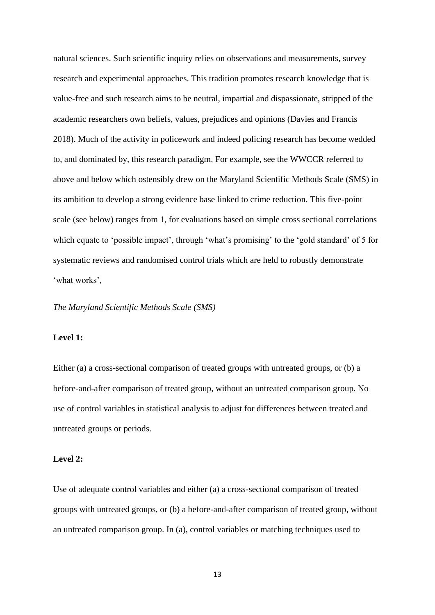natural sciences. Such scientific inquiry relies on observations and measurements, survey research and experimental approaches. This tradition promotes research knowledge that is value-free and such research aims to be neutral, impartial and dispassionate, stripped of the academic researchers own beliefs, values, prejudices and opinions (Davies and Francis 2018). Much of the activity in policework and indeed policing research has become wedded to, and dominated by, this research paradigm. For example, see the WWCCR referred to above and below which ostensibly drew on the Maryland Scientific Methods Scale (SMS) in its ambition to develop a strong evidence base linked to crime reduction. This five-point scale (see below) ranges from 1, for evaluations based on simple cross sectional correlations which equate to 'possible impact', through 'what's promising' to the 'gold standard' of 5 for systematic reviews and randomised control trials which are held to robustly demonstrate 'what works',

*The Maryland Scientific Methods Scale (SMS)*

## **Level 1:**

Either (a) a cross-sectional comparison of treated groups with untreated groups, or (b) a before-and-after comparison of treated group, without an untreated comparison group. No use of control variables in statistical analysis to adjust for differences between treated and untreated groups or periods.

#### **Level 2:**

Use of adequate control variables and either (a) a cross-sectional comparison of treated groups with untreated groups, or (b) a before-and-after comparison of treated group, without an untreated comparison group. In (a), control variables or matching techniques used to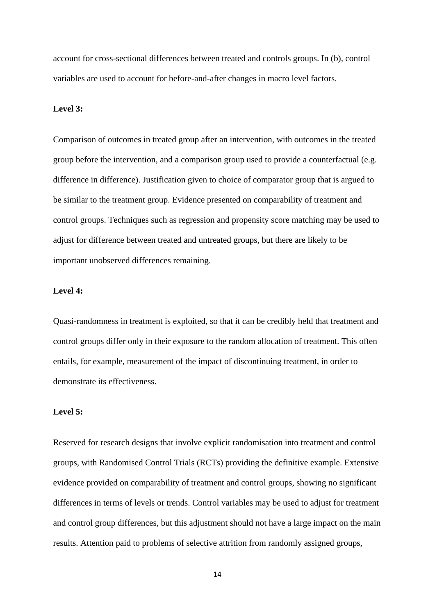account for cross-sectional differences between treated and controls groups. In (b), control variables are used to account for before-and-after changes in macro level factors.

# **Level 3:**

Comparison of outcomes in treated group after an intervention, with outcomes in the treated group before the intervention, and a comparison group used to provide a counterfactual (e.g. difference in difference). Justification given to choice of comparator group that is argued to be similar to the treatment group. Evidence presented on comparability of treatment and control groups. Techniques such as regression and propensity score matching may be used to adjust for difference between treated and untreated groups, but there are likely to be important unobserved differences remaining.

## **Level 4:**

Quasi-randomness in treatment is exploited, so that it can be credibly held that treatment and control groups differ only in their exposure to the random allocation of treatment. This often entails, for example, measurement of the impact of discontinuing treatment, in order to demonstrate its effectiveness.

# **Level 5:**

Reserved for research designs that involve explicit randomisation into treatment and control groups, with Randomised Control Trials (RCTs) providing the definitive example. Extensive evidence provided on comparability of treatment and control groups, showing no significant differences in terms of levels or trends. Control variables may be used to adjust for treatment and control group differences, but this adjustment should not have a large impact on the main results. Attention paid to problems of selective attrition from randomly assigned groups,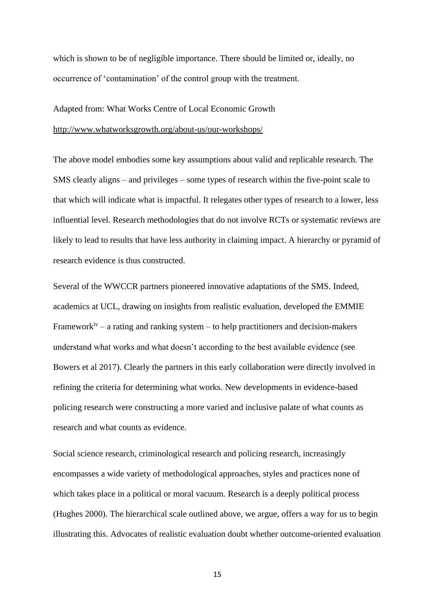which is shown to be of negligible importance. There should be limited or, ideally, no occurrence of 'contamination' of the control group with the treatment.

Adapted from: What Works Centre of Local Economic Growth <http://www.whatworksgrowth.org/about-us/our-workshops/>

The above model embodies some key assumptions about valid and replicable research. The SMS clearly aligns – and privileges – some types of research within the five-point scale to that which will indicate what is impactful. It relegates other types of research to a lower, less influential level. Research methodologies that do not involve RCTs or systematic reviews are likely to lead to results that have less authority in claiming impact. A hierarchy or pyramid of research evidence is thus constructed.

Several of the WWCCR partners pioneered innovative adaptations of the SMS. Indeed, academics at UCL, drawing on insights from realistic evaluation, developed the EMMIE Framework<sup>iv</sup> – a rating and ranking system – to help practitioners and decision-makers understand what works and what doesn't according to the best available evidence (see Bowers et al 2017). Clearly the partners in this early collaboration were directly involved in refining the criteria for determining what works. New developments in evidence-based policing research were constructing a more varied and inclusive palate of what counts as research and what counts as evidence.

Social science research, criminological research and policing research, increasingly encompasses a wide variety of methodological approaches, styles and practices none of which takes place in a political or moral vacuum. Research is a deeply political process (Hughes 2000). The hierarchical scale outlined above, we argue, offers a way for us to begin illustrating this. Advocates of realistic evaluation doubt whether outcome-oriented evaluation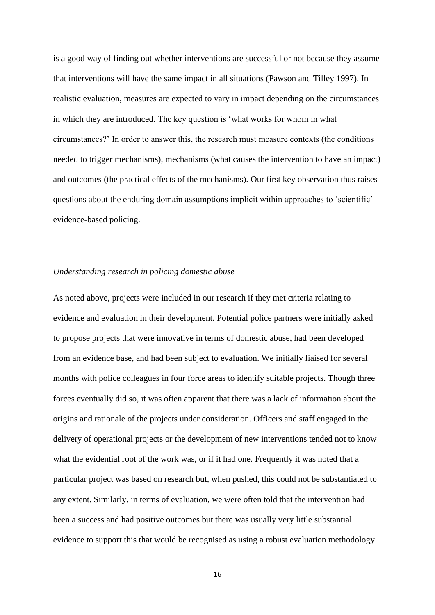is a good way of finding out whether interventions are successful or not because they assume that interventions will have the same impact in all situations (Pawson and Tilley 1997). In realistic evaluation, measures are expected to vary in impact depending on the circumstances in which they are introduced. The key question is 'what works for whom in what circumstances?' In order to answer this, the research must measure contexts (the conditions needed to trigger mechanisms), mechanisms (what causes the intervention to have an impact) and outcomes (the practical effects of the mechanisms). Our first key observation thus raises questions about the enduring domain assumptions implicit within approaches to 'scientific' evidence-based policing.

#### *Understanding research in policing domestic abuse*

As noted above, projects were included in our research if they met criteria relating to evidence and evaluation in their development. Potential police partners were initially asked to propose projects that were innovative in terms of domestic abuse, had been developed from an evidence base, and had been subject to evaluation. We initially liaised for several months with police colleagues in four force areas to identify suitable projects. Though three forces eventually did so, it was often apparent that there was a lack of information about the origins and rationale of the projects under consideration. Officers and staff engaged in the delivery of operational projects or the development of new interventions tended not to know what the evidential root of the work was, or if it had one. Frequently it was noted that a particular project was based on research but, when pushed, this could not be substantiated to any extent. Similarly, in terms of evaluation, we were often told that the intervention had been a success and had positive outcomes but there was usually very little substantial evidence to support this that would be recognised as using a robust evaluation methodology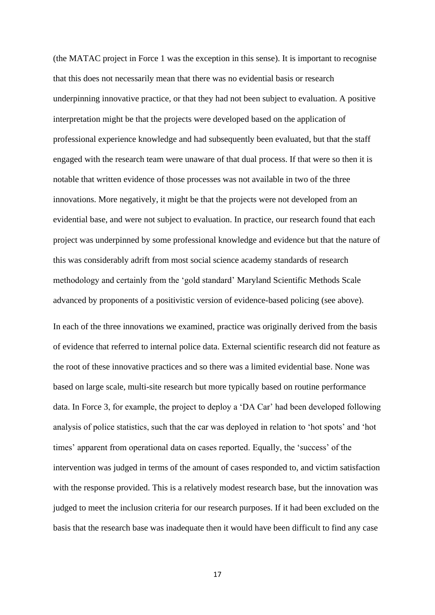(the MATAC project in Force 1 was the exception in this sense). It is important to recognise that this does not necessarily mean that there was no evidential basis or research underpinning innovative practice, or that they had not been subject to evaluation. A positive interpretation might be that the projects were developed based on the application of professional experience knowledge and had subsequently been evaluated, but that the staff engaged with the research team were unaware of that dual process. If that were so then it is notable that written evidence of those processes was not available in two of the three innovations. More negatively, it might be that the projects were not developed from an evidential base, and were not subject to evaluation. In practice, our research found that each project was underpinned by some professional knowledge and evidence but that the nature of this was considerably adrift from most social science academy standards of research methodology and certainly from the 'gold standard' Maryland Scientific Methods Scale advanced by proponents of a positivistic version of evidence-based policing (see above). In each of the three innovations we examined, practice was originally derived from the basis of evidence that referred to internal police data. External scientific research did not feature as the root of these innovative practices and so there was a limited evidential base. None was based on large scale, multi-site research but more typically based on routine performance data. In Force 3, for example, the project to deploy a 'DA Car' had been developed following analysis of police statistics, such that the car was deployed in relation to 'hot spots' and 'hot times' apparent from operational data on cases reported. Equally, the 'success' of the intervention was judged in terms of the amount of cases responded to, and victim satisfaction with the response provided. This is a relatively modest research base, but the innovation was judged to meet the inclusion criteria for our research purposes. If it had been excluded on the basis that the research base was inadequate then it would have been difficult to find any case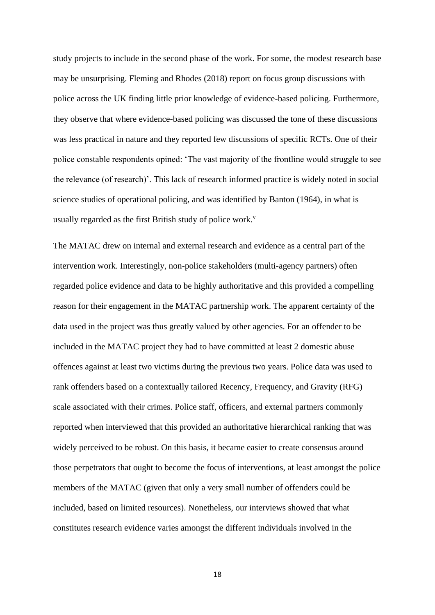study projects to include in the second phase of the work. For some, the modest research base may be unsurprising. Fleming and Rhodes (2018) report on focus group discussions with police across the UK finding little prior knowledge of evidence-based policing. Furthermore, they observe that where evidence-based policing was discussed the tone of these discussions was less practical in nature and they reported few discussions of specific RCTs. One of their police constable respondents opined: 'The vast majority of the frontline would struggle to see the relevance (of research)'. This lack of research informed practice is widely noted in social science studies of operational policing, and was identified by Banton (1964), in what is usually regarded as the first British study of police work. $v$ 

The MATAC drew on internal and external research and evidence as a central part of the intervention work. Interestingly, non-police stakeholders (multi-agency partners) often regarded police evidence and data to be highly authoritative and this provided a compelling reason for their engagement in the MATAC partnership work. The apparent certainty of the data used in the project was thus greatly valued by other agencies. For an offender to be included in the MATAC project they had to have committed at least 2 domestic abuse offences against at least two victims during the previous two years. Police data was used to rank offenders based on a contextually tailored Recency, Frequency, and Gravity (RFG) scale associated with their crimes. Police staff, officers, and external partners commonly reported when interviewed that this provided an authoritative hierarchical ranking that was widely perceived to be robust. On this basis, it became easier to create consensus around those perpetrators that ought to become the focus of interventions, at least amongst the police members of the MATAC (given that only a very small number of offenders could be included, based on limited resources). Nonetheless, our interviews showed that what constitutes research evidence varies amongst the different individuals involved in the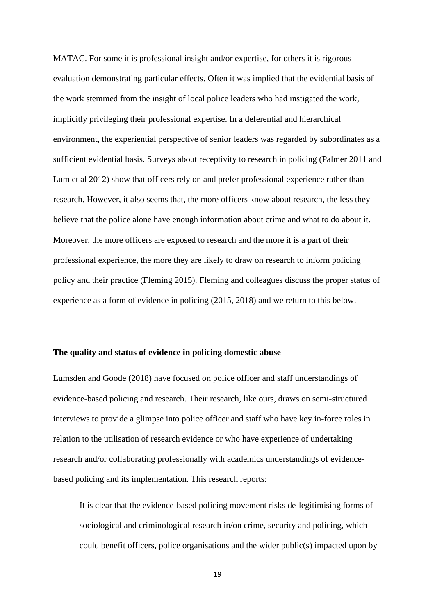MATAC. For some it is professional insight and/or expertise, for others it is rigorous evaluation demonstrating particular effects. Often it was implied that the evidential basis of the work stemmed from the insight of local police leaders who had instigated the work, implicitly privileging their professional expertise. In a deferential and hierarchical environment, the experiential perspective of senior leaders was regarded by subordinates as a sufficient evidential basis. Surveys about receptivity to research in policing (Palmer 2011 and Lum et al 2012) show that officers rely on and prefer professional experience rather than research. However, it also seems that, the more officers know about research, the less they believe that the police alone have enough information about crime and what to do about it. Moreover, the more officers are exposed to research and the more it is a part of their professional experience, the more they are likely to draw on research to inform policing policy and their practice (Fleming 2015). Fleming and colleagues discuss the proper status of experience as a form of evidence in policing (2015, 2018) and we return to this below.

#### **The quality and status of evidence in policing domestic abuse**

Lumsden and Goode (2018) have focused on police officer and staff understandings of evidence-based policing and research. Their research, like ours, draws on semi-structured interviews to provide a glimpse into police officer and staff who have key in-force roles in relation to the utilisation of research evidence or who have experience of undertaking research and/or collaborating professionally with academics understandings of evidencebased policing and its implementation. This research reports:

It is clear that the evidence-based policing movement risks de-legitimising forms of sociological and criminological research in/on crime, security and policing, which could benefit officers, police organisations and the wider public(s) impacted upon by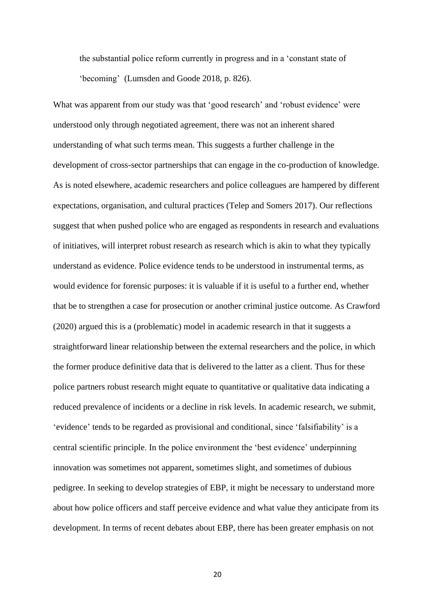the substantial police reform currently in progress and in a 'constant state of 'becoming' (Lumsden and Goode 2018, p. 826).

What was apparent from our study was that 'good research' and 'robust evidence' were understood only through negotiated agreement, there was not an inherent shared understanding of what such terms mean. This suggests a further challenge in the development of cross-sector partnerships that can engage in the co-production of knowledge. As is noted elsewhere, academic researchers and police colleagues are hampered by different expectations, organisation, and cultural practices (Telep and Somers 2017). Our reflections suggest that when pushed police who are engaged as respondents in research and evaluations of initiatives, will interpret robust research as research which is akin to what they typically understand as evidence. Police evidence tends to be understood in instrumental terms, as would evidence for forensic purposes: it is valuable if it is useful to a further end, whether that be to strengthen a case for prosecution or another criminal justice outcome. As Crawford (2020) argued this is a (problematic) model in academic research in that it suggests a straightforward linear relationship between the external researchers and the police, in which the former produce definitive data that is delivered to the latter as a client. Thus for these police partners robust research might equate to quantitative or qualitative data indicating a reduced prevalence of incidents or a decline in risk levels. In academic research, we submit, 'evidence' tends to be regarded as provisional and conditional, since 'falsifiability' is a central scientific principle. In the police environment the 'best evidence' underpinning innovation was sometimes not apparent, sometimes slight, and sometimes of dubious pedigree. In seeking to develop strategies of EBP, it might be necessary to understand more about how police officers and staff perceive evidence and what value they anticipate from its development. In terms of recent debates about EBP, there has been greater emphasis on not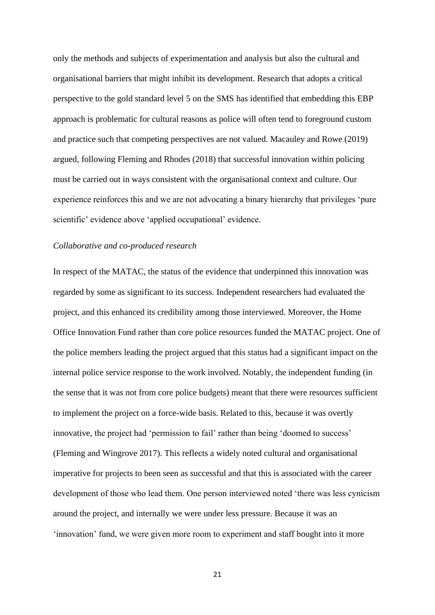only the methods and subjects of experimentation and analysis but also the cultural and organisational barriers that might inhibit its development. Research that adopts a critical perspective to the gold standard level 5 on the SMS has identified that embedding this EBP approach is problematic for cultural reasons as police will often tend to foreground custom and practice such that competing perspectives are not valued. Macauley and Rowe (2019) argued, following Fleming and Rhodes (2018) that successful innovation within policing must be carried out in ways consistent with the organisational context and culture. Our experience reinforces this and we are not advocating a binary hierarchy that privileges 'pure scientific' evidence above 'applied occupational' evidence.

#### *Collaborative and co-produced research*

In respect of the MATAC, the status of the evidence that underpinned this innovation was regarded by some as significant to its success. Independent researchers had evaluated the project, and this enhanced its credibility among those interviewed. Moreover, the Home Office Innovation Fund rather than core police resources funded the MATAC project. One of the police members leading the project argued that this status had a significant impact on the internal police service response to the work involved. Notably, the independent funding (in the sense that it was not from core police budgets) meant that there were resources sufficient to implement the project on a force-wide basis. Related to this, because it was overtly innovative, the project had 'permission to fail' rather than being 'doomed to success' (Fleming and Wingrove 2017). This reflects a widely noted cultural and organisational imperative for projects to been seen as successful and that this is associated with the career development of those who lead them. One person interviewed noted 'there was less cynicism around the project, and internally we were under less pressure. Because it was an 'innovation' fund, we were given more room to experiment and staff bought into it more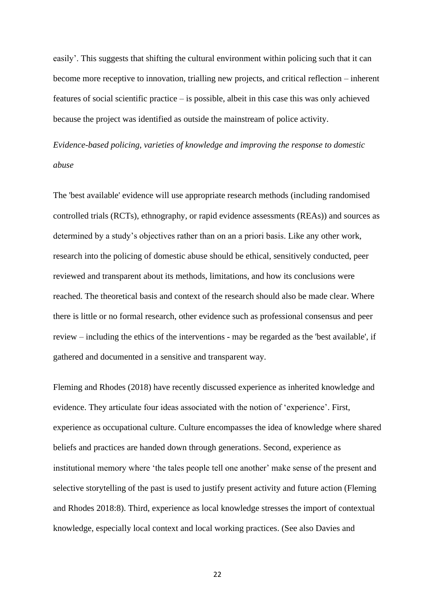easily'. This suggests that shifting the cultural environment within policing such that it can become more receptive to innovation, trialling new projects, and critical reflection – inherent features of social scientific practice – is possible, albeit in this case this was only achieved because the project was identified as outside the mainstream of police activity.

*Evidence-based policing, varieties of knowledge and improving the response to domestic abuse*

The 'best available' evidence will use appropriate research methods (including randomised controlled trials (RCTs), ethnography, or rapid evidence assessments (REAs)) and sources as determined by a study's objectives rather than on an a priori basis. Like any other work, research into the policing of domestic abuse should be ethical, sensitively conducted, peer reviewed and transparent about its methods, limitations, and how its conclusions were reached. The theoretical basis and context of the research should also be made clear. Where there is little or no formal research, other evidence such as professional consensus and peer review – including the ethics of the interventions - may be regarded as the 'best available', if gathered and documented in a sensitive and transparent way.

Fleming and Rhodes (2018) have recently discussed experience as inherited knowledge and evidence. They articulate four ideas associated with the notion of 'experience'. First, experience as occupational culture. Culture encompasses the idea of knowledge where shared beliefs and practices are handed down through generations. Second, experience as institutional memory where 'the tales people tell one another' make sense of the present and selective storytelling of the past is used to justify present activity and future action (Fleming and Rhodes 2018:8). Third, experience as local knowledge stresses the import of contextual knowledge, especially local context and local working practices. (See also Davies and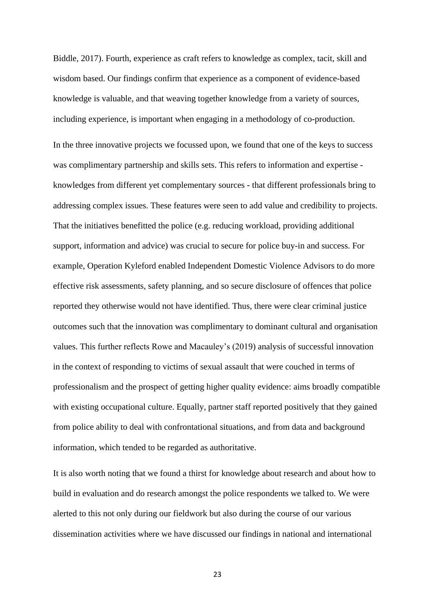Biddle, 2017). Fourth, experience as craft refers to knowledge as complex, tacit, skill and wisdom based. Our findings confirm that experience as a component of evidence-based knowledge is valuable, and that weaving together knowledge from a variety of sources, including experience, is important when engaging in a methodology of co-production.

In the three innovative projects we focussed upon, we found that one of the keys to success was complimentary partnership and skills sets. This refers to information and expertise knowledges from different yet complementary sources - that different professionals bring to addressing complex issues. These features were seen to add value and credibility to projects. That the initiatives benefitted the police (e.g. reducing workload, providing additional support, information and advice) was crucial to secure for police buy-in and success. For example, Operation Kyleford enabled Independent Domestic Violence Advisors to do more effective risk assessments, safety planning, and so secure disclosure of offences that police reported they otherwise would not have identified. Thus, there were clear criminal justice outcomes such that the innovation was complimentary to dominant cultural and organisation values. This further reflects Rowe and Macauley's (2019) analysis of successful innovation in the context of responding to victims of sexual assault that were couched in terms of professionalism and the prospect of getting higher quality evidence: aims broadly compatible with existing occupational culture. Equally, partner staff reported positively that they gained from police ability to deal with confrontational situations, and from data and background information, which tended to be regarded as authoritative.

It is also worth noting that we found a thirst for knowledge about research and about how to build in evaluation and do research amongst the police respondents we talked to. We were alerted to this not only during our fieldwork but also during the course of our various dissemination activities where we have discussed our findings in national and international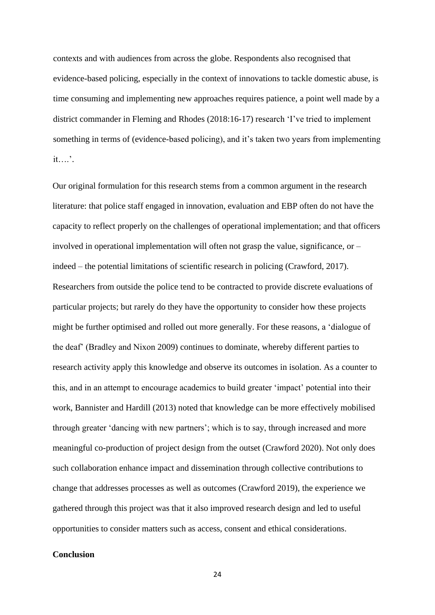contexts and with audiences from across the globe. Respondents also recognised that evidence-based policing, especially in the context of innovations to tackle domestic abuse, is time consuming and implementing new approaches requires patience, a point well made by a district commander in Fleming and Rhodes (2018:16-17) research 'I've tried to implement something in terms of (evidence-based policing), and it's taken two years from implementing it….'.

Our original formulation for this research stems from a common argument in the research literature: that police staff engaged in innovation, evaluation and EBP often do not have the capacity to reflect properly on the challenges of operational implementation; and that officers involved in operational implementation will often not grasp the value, significance, or – indeed – the potential limitations of scientific research in policing (Crawford, 2017). Researchers from outside the police tend to be contracted to provide discrete evaluations of particular projects; but rarely do they have the opportunity to consider how these projects might be further optimised and rolled out more generally. For these reasons, a 'dialogue of the deaf' (Bradley and Nixon 2009) continues to dominate, whereby different parties to research activity apply this knowledge and observe its outcomes in isolation. As a counter to this, and in an attempt to encourage academics to build greater 'impact' potential into their work, Bannister and Hardill (2013) noted that knowledge can be more effectively mobilised through greater 'dancing with new partners'; which is to say, through increased and more meaningful co-production of project design from the outset (Crawford 2020). Not only does such collaboration enhance impact and dissemination through collective contributions to change that addresses processes as well as outcomes (Crawford 2019), the experience we gathered through this project was that it also improved research design and led to useful opportunities to consider matters such as access, consent and ethical considerations.

## **Conclusion**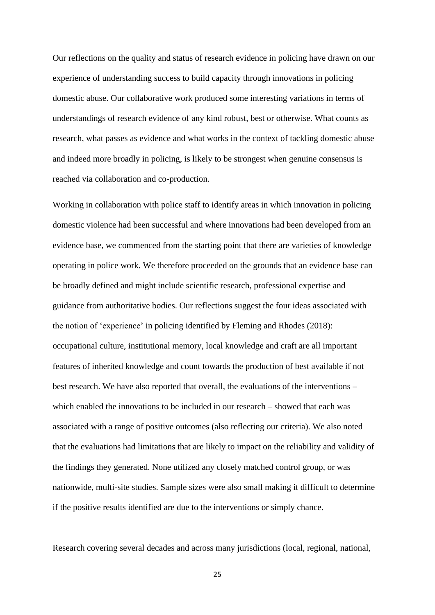Our reflections on the quality and status of research evidence in policing have drawn on our experience of understanding success to build capacity through innovations in policing domestic abuse. Our collaborative work produced some interesting variations in terms of understandings of research evidence of any kind robust, best or otherwise. What counts as research, what passes as evidence and what works in the context of tackling domestic abuse and indeed more broadly in policing, is likely to be strongest when genuine consensus is reached via collaboration and co-production.

Working in collaboration with police staff to identify areas in which innovation in policing domestic violence had been successful and where innovations had been developed from an evidence base, we commenced from the starting point that there are varieties of knowledge operating in police work. We therefore proceeded on the grounds that an evidence base can be broadly defined and might include scientific research, professional expertise and guidance from authoritative bodies. Our reflections suggest the four ideas associated with the notion of 'experience' in policing identified by Fleming and Rhodes (2018): occupational culture, institutional memory, local knowledge and craft are all important features of inherited knowledge and count towards the production of best available if not best research. We have also reported that overall, the evaluations of the interventions – which enabled the innovations to be included in our research – showed that each was associated with a range of positive outcomes (also reflecting our criteria). We also noted that the evaluations had limitations that are likely to impact on the reliability and validity of the findings they generated. None utilized any closely matched control group, or was nationwide, multi-site studies. Sample sizes were also small making it difficult to determine if the positive results identified are due to the interventions or simply chance.

Research covering several decades and across many jurisdictions (local, regional, national,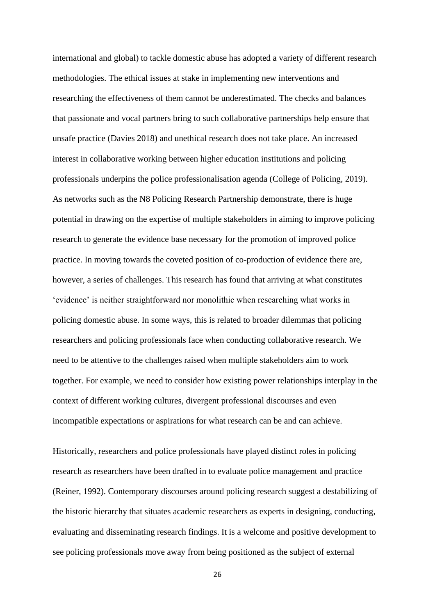international and global) to tackle domestic abuse has adopted a variety of different research methodologies. The ethical issues at stake in implementing new interventions and researching the effectiveness of them cannot be underestimated. The checks and balances that passionate and vocal partners bring to such collaborative partnerships help ensure that unsafe practice (Davies 2018) and unethical research does not take place. An increased interest in collaborative working between higher education institutions and policing professionals underpins the police professionalisation agenda (College of Policing, 2019). As networks such as the N8 Policing Research Partnership demonstrate, there is huge potential in drawing on the expertise of multiple stakeholders in aiming to improve policing research to generate the evidence base necessary for the promotion of improved police practice. In moving towards the coveted position of co-production of evidence there are, however, a series of challenges. This research has found that arriving at what constitutes 'evidence' is neither straightforward nor monolithic when researching what works in policing domestic abuse. In some ways, this is related to broader dilemmas that policing researchers and policing professionals face when conducting collaborative research. We need to be attentive to the challenges raised when multiple stakeholders aim to work together. For example, we need to consider how existing power relationships interplay in the context of different working cultures, divergent professional discourses and even incompatible expectations or aspirations for what research can be and can achieve.

Historically, researchers and police professionals have played distinct roles in policing research as researchers have been drafted in to evaluate police management and practice (Reiner, 1992). Contemporary discourses around policing research suggest a destabilizing of the historic hierarchy that situates academic researchers as experts in designing, conducting, evaluating and disseminating research findings. It is a welcome and positive development to see policing professionals move away from being positioned as the subject of external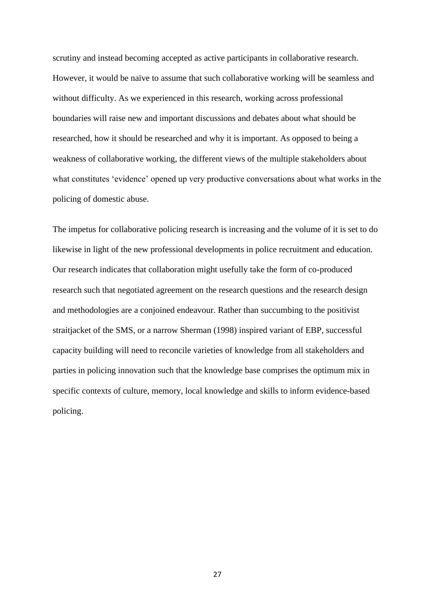scrutiny and instead becoming accepted as active participants in collaborative research. However, it would be naïve to assume that such collaborative working will be seamless and without difficulty. As we experienced in this research, working across professional boundaries will raise new and important discussions and debates about what should be researched, how it should be researched and why it is important. As opposed to being a weakness of collaborative working, the different views of the multiple stakeholders about what constitutes 'evidence' opened up very productive conversations about what works in the policing of domestic abuse.

The impetus for collaborative policing research is increasing and the volume of it is set to do likewise in light of the new professional developments in police recruitment and education. Our research indicates that collaboration might usefully take the form of co-produced research such that negotiated agreement on the research questions and the research design and methodologies are a conjoined endeavour. Rather than succumbing to the positivist straitjacket of the SMS, or a narrow Sherman (1998) inspired variant of EBP, successful capacity building will need to reconcile varieties of knowledge from all stakeholders and parties in policing innovation such that the knowledge base comprises the optimum mix in specific contexts of culture, memory, local knowledge and skills to inform evidence-based policing.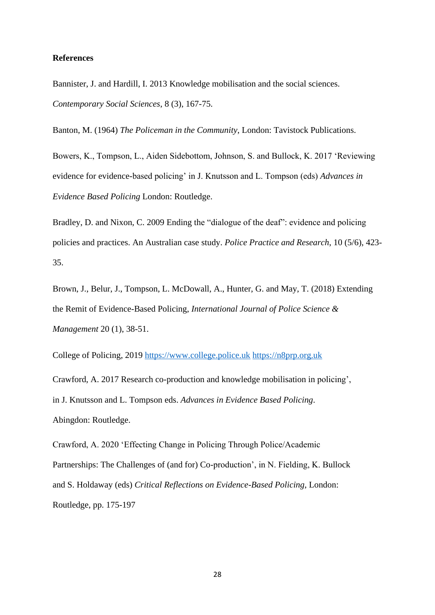## **References**

Bannister, J. and Hardill, I. 2013 Knowledge mobilisation and the social sciences. *Contemporary Social Sciences*, 8 (3), 167-75.

Banton, M. (1964) *The Policeman in the Community*, London: Tavistock Publications.

Bowers, K., Tompson, L., Aiden Sidebottom, Johnson, S. and Bullock, K. 2017 'Reviewing evidence for evidence-based policing' in J. Knutsson and L. Tompson (eds) *Advances in Evidence Based Policing* London: Routledge.

Bradley, D. and Nixon, C. 2009 Ending the "dialogue of the deaf": evidence and policing policies and practices. An Australian case study. *Police Practice and Research*, 10 (5/6), 423- 35.

Brown, J., Belur, J., Tompson, L. McDowall, A., Hunter, G. and May, T. (2018) Extending the Remit of Evidence-Based Policing, *International Journal of Police Science & Management* 20 (1), 38-51.

College of Policing, 2019 [https://www.college.police.uk](https://eur02.safelinks.protection.outlook.com/?url=https%3A%2F%2Fwww.college.police.uk&data=02%7C01%7Cpamela.davies%40northumbria.ac.uk%7Ceee75d7f808b49e3d71a08d77fe62b59%7Ce757cfdd1f354457af8f7c9c6b1437e3%7C0%7C0%7C637118498871512422&sdata=xCFdD7TTA%2BmJgZwYmu0cjHGVmt7T%2BWoVXiZ9bYJ05nM%3D&reserved=0) [https://n8prp.org.uk](https://eur02.safelinks.protection.outlook.com/?url=https%3A%2F%2Fn8prp.org.uk&data=02%7C01%7Cpamela.davies%40northumbria.ac.uk%7Ceee75d7f808b49e3d71a08d77fe62b59%7Ce757cfdd1f354457af8f7c9c6b1437e3%7C0%7C0%7C637118498871522416&sdata=IFoFQ7FbbJbjgL%2BGVNh1XwCbjw%2BZ1NTPh1bdmzN1Ygg%3D&reserved=0)

Crawford, A. 2017 Research co-production and knowledge mobilisation in policing', in J. Knutsson and L. Tompson eds. *Advances in Evidence Based Policing*. Abingdon: Routledge.

Crawford, A. 2020 'Effecting Change in Policing Through Police/Academic Partnerships: The Challenges of (and for) Co-production', in N. Fielding, K. Bullock and S. Holdaway (eds) *Critical Reflections on Evidence-Based Policing*, London: Routledge, pp. 175-197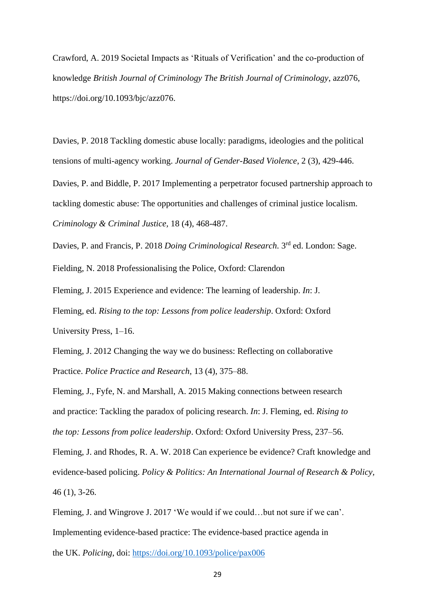Crawford, A. 2019 Societal Impacts as 'Rituals of Verification' and the co-production of knowledge *British Journal of Criminology The British Journal of Criminology*, azz076, [https://doi.org/10.1093/bjc/azz076.](https://doi.org/10.1093/bjc/azz076)

Davies, P. 2018 Tackling domestic abuse locally: paradigms, ideologies and the political tensions of multi-agency working. *Journal of Gender-Based Violence*, 2 (3), 429-446.

Davies, P. and Biddle, P. 2017 Implementing a perpetrator focused partnership approach to tackling domestic abuse: The opportunities and challenges of criminal justice localism. *Criminology & Criminal Justice,* 18 (4), 468-487.

Davies, P. and Francis, P. 2018 *Doing Criminological Research*. 3<sup>rd</sup> ed. London: Sage.

Fielding, N. 2018 Professionalising the Police, Oxford: Clarendon

Fleming, J. 2015 Experience and evidence: The learning of leadership. *In*: J.

Fleming, ed. *Rising to the top: Lessons from police leadership*. Oxford: Oxford University Press, 1–16.

Fleming, J. 2012 Changing the way we do business: Reflecting on collaborative Practice. *Police Practice and Research*, 13 (4), 375–88.

Fleming, J., Fyfe, N. and Marshall, A. 2015 Making connections between research and practice: Tackling the paradox of policing research. *In*: J. Fleming, ed. *Rising to the top: Lessons from police leadership*. Oxford: Oxford University Press, 237–56.

Fleming, J. and Rhodes, R. A. W. 2018 Can experience be evidence? Craft knowledge and evidence-based policing. *Policy & Politics: An International Journal of Research & Policy,* 46 (1), 3-26.

Fleming, J. and Wingrove J. 2017 'We would if we could…but not sure if we can'. Implementing evidence-based practice: The evidence-based practice agenda in the UK. *Policing*, doi:<https://doi.org/10.1093/police/pax006>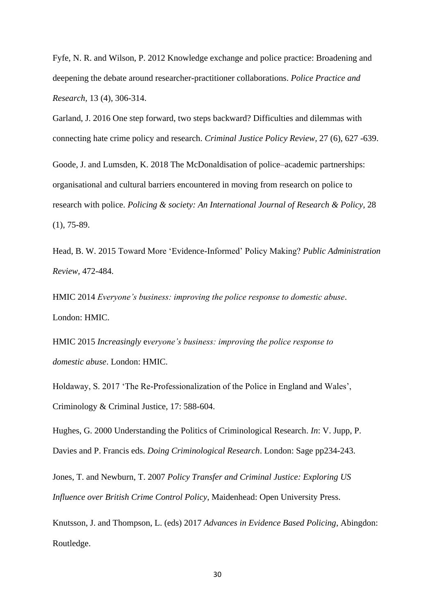Fyfe, N. R. and Wilson, P. 2012 Knowledge exchange and police practice: Broadening and deepening the debate around researcher-practitioner collaborations. *Police Practice and Research,* 13 (4), 306-314.

Garland, J. 2016 One step forward, two steps backward? Difficulties and dilemmas with connecting hate crime policy and research. *Criminal Justice Policy Review,* 27 (6), 627 -639.

Goode, J. and Lumsden, K. 2018 The McDonaldisation of police–academic partnerships: organisational and cultural barriers encountered in moving from research on police to research with police. *Policing & society: An International Journal of Research & Policy,* 28 (1), 75-89.

Head, B. W. 2015 Toward More 'Evidence-Informed' Policy Making? *Public Administration Review,* 472-484.

HMIC 2014 *Everyone's business: improving the police response to domestic abuse*. London: HMIC.

HMIC 2015 *Increasingly* e*veryone's business: improving the police response to domestic abuse*. London: HMIC.

Holdaway, S. 2017 'The Re-Professionalization of the Police in England and Wales', Criminology & Criminal Justice, 17: 588-604.

Hughes, G. 2000 Understanding the Politics of Criminological Research. *In*: V. Jupp, P. Davies and P. Francis eds. *Doing Criminological Research*. London: Sage pp234-243.

Jones, T. and Newburn, T. 2007 *Policy Transfer and Criminal Justice: Exploring US Influence over British Crime Control Policy*, Maidenhead: Open University Press.

Knutsson, J. and Thompson, L. (eds) 2017 *Advances in Evidence Based Policing*, Abingdon: Routledge.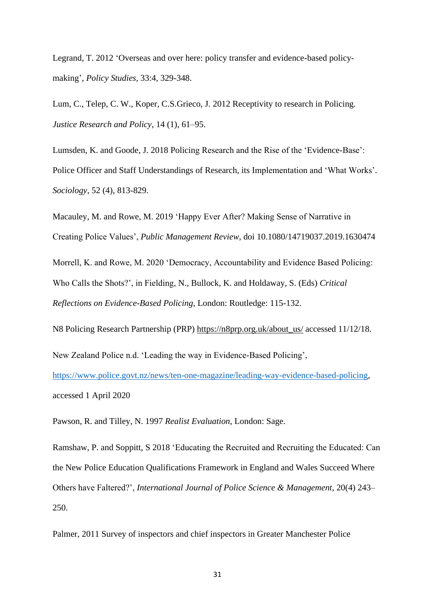Legrand, T. 2012 'Overseas and over here: policy transfer and evidence-based policymaking', *Policy Studies*, 33:4, 329-348.

Lum, C., Telep, C. W., Koper, C.S.Grieco, J. 2012 Receptivity to research in Policing*. Justice Research and Policy*, 14 (1), 61–95.

Lumsden, K. and Goode, J. 2018 Policing Research and the Rise of the 'Evidence-Base': Police Officer and Staff Understandings of Research, its Implementation and 'What Works'. *Sociology*, 52 (4), 813-829.

Macauley, M. and Rowe, M. 2019 'Happy Ever After? Making Sense of Narrative in Creating Police Values', *Public Management Review*, doi 10.1080/14719037.2019.1630474

Morrell, K. and Rowe, M. 2020 'Democracy, Accountability and Evidence Based Policing: Who Calls the Shots?', in Fielding, N., Bullock, K. and Holdaway, S. (Eds) *Critical Reflections on Evidence-Based Policing*, London: Routledge: 115-132.

N8 Policing Research Partnership (PRP) [https://n8prp.org.uk/about\\_us/](https://n8prp.org.uk/about_us/) accessed 11/12/18.

New Zealand Police n.d. 'Leading the way in Evidence-Based Policing',

[https://www.police.govt.nz/news/ten-one-magazine/leading-way-evidence-based-policing,](https://www.police.govt.nz/news/ten-one-magazine/leading-way-evidence-based-policing) accessed 1 April 2020

Pawson, R. and Tilley, N. 1997 *Realist Evaluation*, London: Sage.

Ramshaw, P. and Soppitt, S 2018 'Educating the Recruited and Recruiting the Educated: Can the New Police Education Qualifications Framework in England and Wales Succeed Where Others have Faltered?', *International Journal of Police Science & Management*, 20(4) 243– 250.

Palmer, 2011 Survey of inspectors and chief inspectors in Greater Manchester Police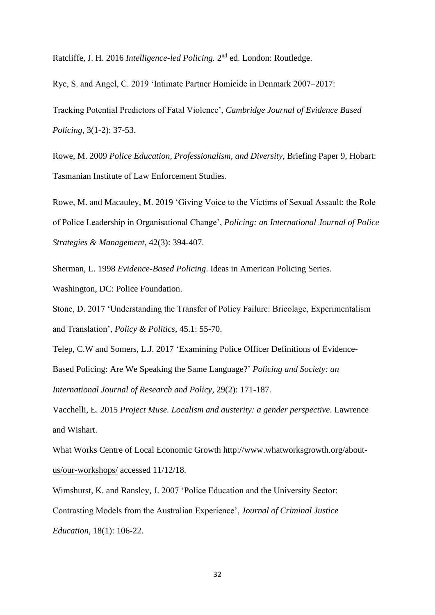Ratcliffe, J. H. 2016 Intelligence-led Policing. 2<sup>nd</sup> ed. London: Routledge.

Rye, S. and Angel, C. 2019 'Intimate Partner Homicide in Denmark 2007–2017:

Tracking Potential Predictors of Fatal Violence', *Cambridge Journal of Evidence Based Policing*, 3(1-2): 37-53.

Rowe, M. 2009 *Police Education, Professionalism, and Diversity*, Briefing Paper 9, Hobart: Tasmanian Institute of Law Enforcement Studies.

Rowe, M. and Macauley, M. 2019 'Giving Voice to the Victims of Sexual Assault: the Role of Police Leadership in Organisational Change', *Policing: an International Journal of Police Strategies & Management*, 42(3): 394-407.

Sherman, L. 1998 *Evidence-Based Policing*. Ideas in American Policing Series. Washington, DC: Police Foundation.

Stone, D. 2017 'Understanding the Transfer of Policy Failure: Bricolage, Experimentalism and Translation', *Policy & Politics*, 45.1: 55-70.

Telep, C.W and Somers, L.J. 2017 'Examining Police Officer Definitions of Evidence-Based Policing: Are We Speaking the Same Language?' *Policing and Society: an International Journal of Research and Policy*, 29(2): 171-187.

Vacchelli, E. 2015 *Project Muse. Localism and austerity: a gender perspective*. Lawrence and Wishart.

What Works Centre of Local Economic Growth [http://www.whatworksgrowth.org/about](http://www.whatworksgrowth.org/about-us/our-workshops/)[us/our-workshops/](http://www.whatworksgrowth.org/about-us/our-workshops/) accessed 11/12/18.

Wimshurst, K. and Ransley, J. 2007 'Police Education and the University Sector: Contrasting Models from the Australian Experience', *Journal of Criminal Justice Education*, 18(1): 106-22.